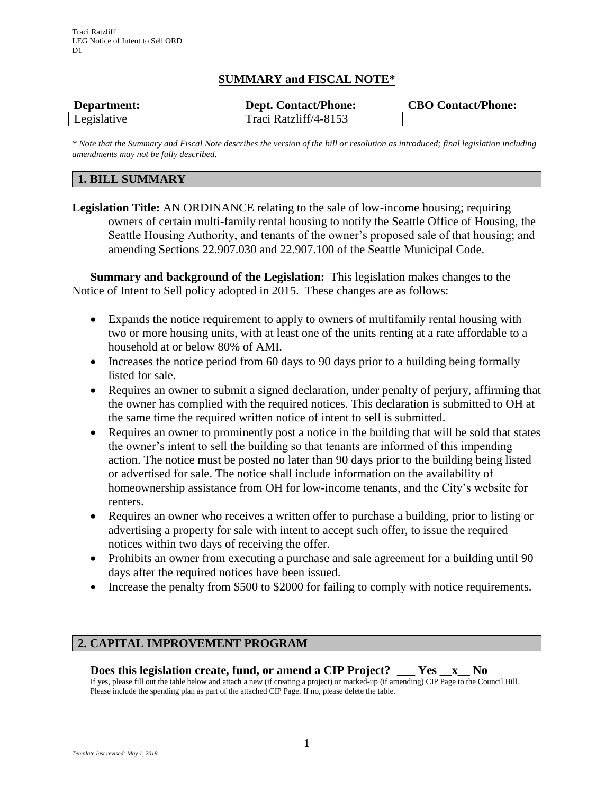# **SUMMARY and FISCAL NOTE\***

| Department: | <b>Dept. Contact/Phone:</b> | <b>CBO Contact/Phone:</b> |
|-------------|-----------------------------|---------------------------|
| Legislative | Traci Ratzliff/4-8153       |                           |

*\* Note that the Summary and Fiscal Note describes the version of the bill or resolution as introduced; final legislation including amendments may not be fully described.*

# **1. BILL SUMMARY**

**Legislation Title:** AN ORDINANCE relating to the sale of low-income housing; requiring owners of certain multi-family rental housing to notify the Seattle Office of Housing, the Seattle Housing Authority, and tenants of the owner's proposed sale of that housing; and amending Sections 22.907.030 and 22.907.100 of the Seattle Municipal Code.

**Summary and background of the Legislation:** This legislation makes changes to the Notice of Intent to Sell policy adopted in 2015. These changes are as follows:

- Expands the notice requirement to apply to owners of multifamily rental housing with two or more housing units, with at least one of the units renting at a rate affordable to a household at or below 80% of AMI.
- Increases the notice period from 60 days to 90 days prior to a building being formally listed for sale.
- Requires an owner to submit a signed declaration, under penalty of perjury, affirming that the owner has complied with the required notices. This declaration is submitted to OH at the same time the required written notice of intent to sell is submitted.
- Requires an owner to prominently post a notice in the building that will be sold that states the owner's intent to sell the building so that tenants are informed of this impending action. The notice must be posted no later than 90 days prior to the building being listed or advertised for sale. The notice shall include information on the availability of homeownership assistance from OH for low-income tenants, and the City's website for renters.
- Requires an owner who receives a written offer to purchase a building, prior to listing or advertising a property for sale with intent to accept such offer, to issue the required notices within two days of receiving the offer.
- Prohibits an owner from executing a purchase and sale agreement for a building until 90 days after the required notices have been issued.
- Increase the penalty from \$500 to \$2000 for failing to comply with notice requirements.

# **2. CAPITAL IMPROVEMENT PROGRAM**

# **Does this legislation create, fund, or amend a CIP Project? \_\_\_ Yes \_\_x\_\_ No**

If yes, please fill out the table below and attach a new (if creating a project) or marked-up (if amending) CIP Page to the Council Bill. Please include the spending plan as part of the attached CIP Page. If no, please delete the table.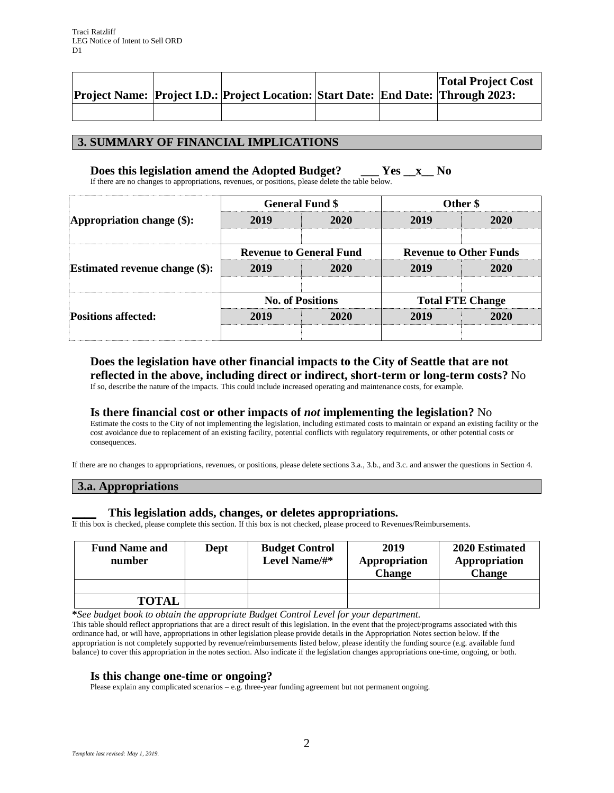|  | <b>Project Name: Project I.D.: Project Location: Start Date: End Date: Through 2023:</b> |  | <b>Total Project Cost</b> |
|--|------------------------------------------------------------------------------------------|--|---------------------------|
|  |                                                                                          |  |                           |

## **3. SUMMARY OF FINANCIAL IMPLICATIONS**

## **Does this legislation amend the Adopted Budget? \_\_\_ Yes \_\_x\_\_ No**

If there are no changes to appropriations, revenues, or positions, please delete the table below.

| Appropriation change $(\$)$ :         |                                | <b>General Fund \$</b> | Other \$                      |      |  |
|---------------------------------------|--------------------------------|------------------------|-------------------------------|------|--|
|                                       | 2019<br>2020                   |                        | 2019                          | 2020 |  |
| <b>Estimated revenue change (\$):</b> | <b>Revenue to General Fund</b> |                        | <b>Revenue to Other Funds</b> |      |  |
|                                       | 2019                           | 2020                   | 2019                          | 2020 |  |
| <b>Positions affected:</b>            | <b>No. of Positions</b>        |                        | <b>Total FTE Change</b>       |      |  |
|                                       | 2019                           | 2020                   | 2019                          | 2020 |  |
|                                       |                                |                        |                               |      |  |

# **Does the legislation have other financial impacts to the City of Seattle that are not reflected in the above, including direct or indirect, short-term or long-term costs?** No

If so, describe the nature of the impacts. This could include increased operating and maintenance costs, for example.

### **Is there financial cost or other impacts of** *not* **implementing the legislation?** No

Estimate the costs to the City of not implementing the legislation, including estimated costs to maintain or expand an existing facility or the cost avoidance due to replacement of an existing facility, potential conflicts with regulatory requirements, or other potential costs or consequences.

If there are no changes to appropriations, revenues, or positions, please delete sections 3.a., 3.b., and 3.c. and answer the questions in Section 4.

#### **3.a. Appropriations**

### **\_\_\_\_ This legislation adds, changes, or deletes appropriations.**

If this box is checked, please complete this section. If this box is not checked, please proceed to Revenues/Reimbursements.

| <b>Fund Name and</b><br>number | Dept | <b>Budget Control</b><br>Level Name/#* | 2019<br>Appropriation<br><b>Change</b> | 2020 Estimated<br>Appropriation<br><b>Change</b> |
|--------------------------------|------|----------------------------------------|----------------------------------------|--------------------------------------------------|
|                                |      |                                        |                                        |                                                  |
| <b>TOTAL</b>                   |      |                                        |                                        |                                                  |

**\****See budget book to obtain the appropriate Budget Control Level for your department.*

This table should reflect appropriations that are a direct result of this legislation. In the event that the project/programs associated with this ordinance had, or will have, appropriations in other legislation please provide details in the Appropriation Notes section below. If the appropriation is not completely supported by revenue/reimbursements listed below, please identify the funding source (e.g. available fund balance) to cover this appropriation in the notes section. Also indicate if the legislation changes appropriations one-time, ongoing, or both.

### **Is this change one-time or ongoing?**

Please explain any complicated scenarios - e.g. three-year funding agreement but not permanent ongoing.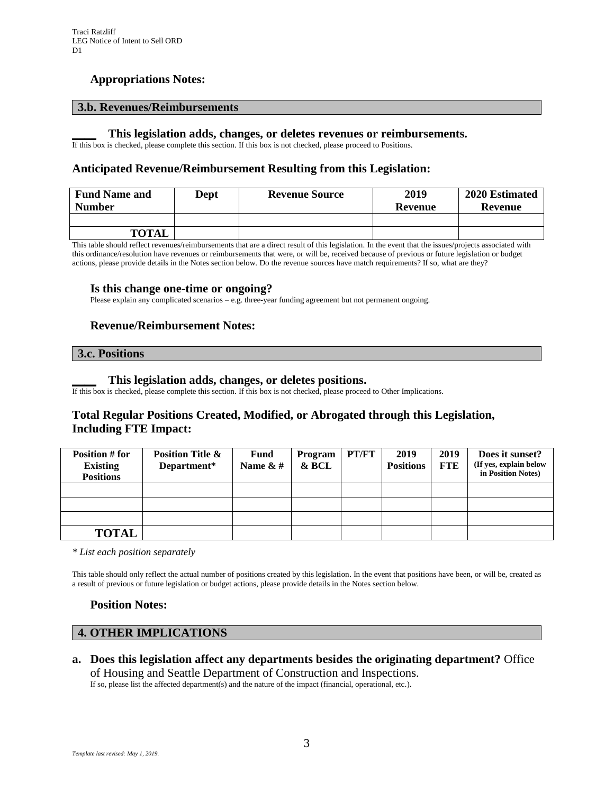# **Appropriations Notes:**

## **3.b. Revenues/Reimbursements**

#### **\_\_\_\_ This legislation adds, changes, or deletes revenues or reimbursements.**

If this box is checked, please complete this section. If this box is not checked, please proceed to Positions.

## **Anticipated Revenue/Reimbursement Resulting from this Legislation:**

| <b>Fund Name and</b> | Dept | <b>Revenue Source</b> | 2019    | 2020 Estimated |  |
|----------------------|------|-----------------------|---------|----------------|--|
| <b>Number</b>        |      |                       | Revenue | Revenue        |  |
|                      |      |                       |         |                |  |
| <b>TOTAL</b>         |      |                       |         |                |  |

This table should reflect revenues/reimbursements that are a direct result of this legislation. In the event that the issues/projects associated with this ordinance/resolution have revenues or reimbursements that were, or will be, received because of previous or future legislation or budget actions, please provide details in the Notes section below. Do the revenue sources have match requirements? If so, what are they?

### **Is this change one-time or ongoing?**

Please explain any complicated scenarios – e.g. three-year funding agreement but not permanent ongoing.

## **Revenue/Reimbursement Notes:**

# **3.c. Positions**

#### **\_\_\_\_ This legislation adds, changes, or deletes positions.**

If this box is checked, please complete this section. If this box is not checked, please proceed to Other Implications.

# **Total Regular Positions Created, Modified, or Abrogated through this Legislation, Including FTE Impact:**

| Position # for<br><b>Existing</b><br><b>Positions</b> | <b>Position Title &amp;</b><br>Department* | Fund<br>Name $\& \#$ | Program<br>& BCL | PT/FT | 2019<br><b>Positions</b> | 2019<br>FTE | Does it sunset?<br>(If yes, explain below<br>in Position Notes) |
|-------------------------------------------------------|--------------------------------------------|----------------------|------------------|-------|--------------------------|-------------|-----------------------------------------------------------------|
|                                                       |                                            |                      |                  |       |                          |             |                                                                 |
|                                                       |                                            |                      |                  |       |                          |             |                                                                 |
|                                                       |                                            |                      |                  |       |                          |             |                                                                 |
| <b>TOTAL</b>                                          |                                            |                      |                  |       |                          |             |                                                                 |

*\* List each position separately*

This table should only reflect the actual number of positions created by this legislation. In the event that positions have been, or will be, created as a result of previous or future legislation or budget actions, please provide details in the Notes section below.

### **Position Notes:**

## **4. OTHER IMPLICATIONS**

**a. Does this legislation affect any departments besides the originating department?** Office of Housing and Seattle Department of Construction and Inspections.

If so, please list the affected department(s) and the nature of the impact (financial, operational, etc.).